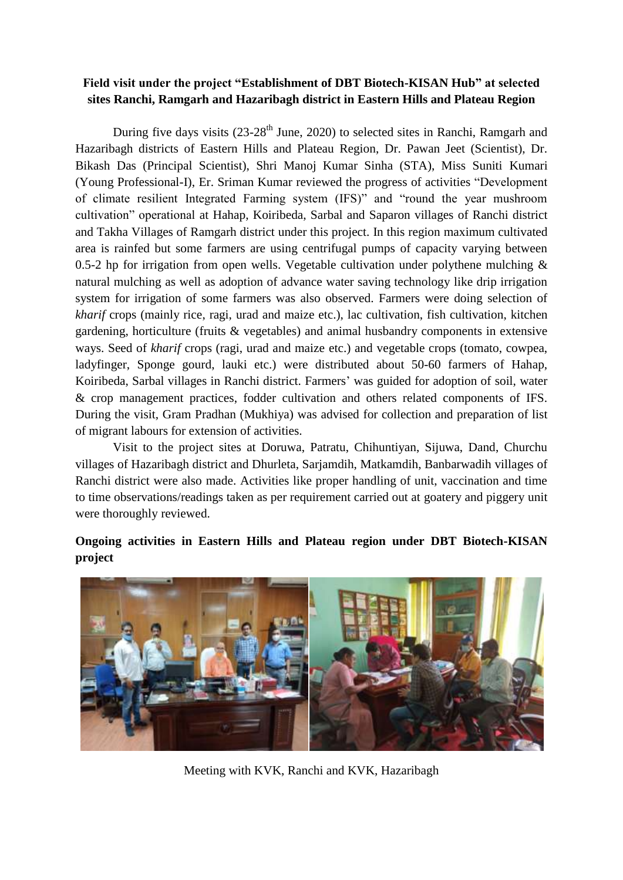## **Field visit under the project "Establishment of DBT Biotech-KISAN Hub" at selected sites Ranchi, Ramgarh and Hazaribagh district in Eastern Hills and Plateau Region**

During five days visits  $(23-28<sup>th</sup>$  June, 2020) to selected sites in Ranchi, Ramgarh and Hazaribagh districts of Eastern Hills and Plateau Region, Dr. Pawan Jeet (Scientist), Dr. Bikash Das (Principal Scientist), Shri Manoj Kumar Sinha (STA), Miss Suniti Kumari (Young Professional-I), Er. Sriman Kumar reviewed the progress of activities "Development of climate resilient Integrated Farming system (IFS)" and "round the year mushroom cultivation" operational at Hahap, Koiribeda, Sarbal and Saparon villages of Ranchi district and Takha Villages of Ramgarh district under this project. In this region maximum cultivated area is rainfed but some farmers are using centrifugal pumps of capacity varying between 0.5-2 hp for irrigation from open wells. Vegetable cultivation under polythene mulching  $\&$ natural mulching as well as adoption of advance water saving technology like drip irrigation system for irrigation of some farmers was also observed. Farmers were doing selection of *kharif* crops (mainly rice, ragi, urad and maize etc.), lac cultivation, fish cultivation, kitchen gardening, horticulture (fruits & vegetables) and animal husbandry components in extensive ways. Seed of *kharif* crops (ragi, urad and maize etc.) and vegetable crops (tomato, cowpea, ladyfinger, Sponge gourd, lauki etc.) were distributed about 50-60 farmers of Hahap, Koiribeda, Sarbal villages in Ranchi district. Farmers' was guided for adoption of soil, water & crop management practices, fodder cultivation and others related components of IFS. During the visit, Gram Pradhan (Mukhiya) was advised for collection and preparation of list of migrant labours for extension of activities.

Visit to the project sites at Doruwa, Patratu, Chihuntiyan, Sijuwa, Dand, Churchu villages of Hazaribagh district and Dhurleta, Sarjamdih, Matkamdih, Banbarwadih villages of Ranchi district were also made. Activities like proper handling of unit, vaccination and time to time observations/readings taken as per requirement carried out at goatery and piggery unit were thoroughly reviewed.

## **Ongoing activities in Eastern Hills and Plateau region under DBT Biotech-KISAN project**



Meeting with KVK, Ranchi and KVK, Hazaribagh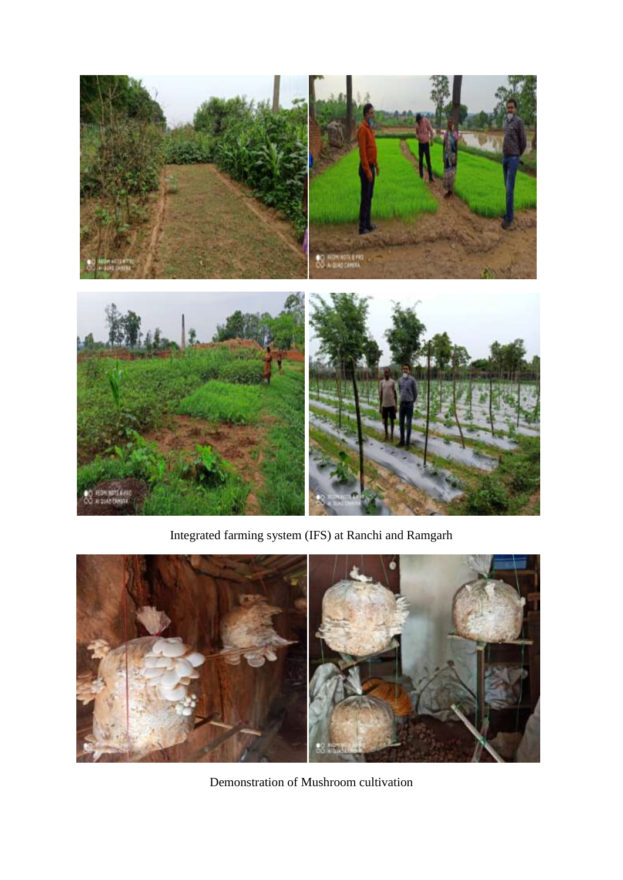

Integrated farming system (IFS) at Ranchi and Ramgarh



Demonstration of Mushroom cultivation